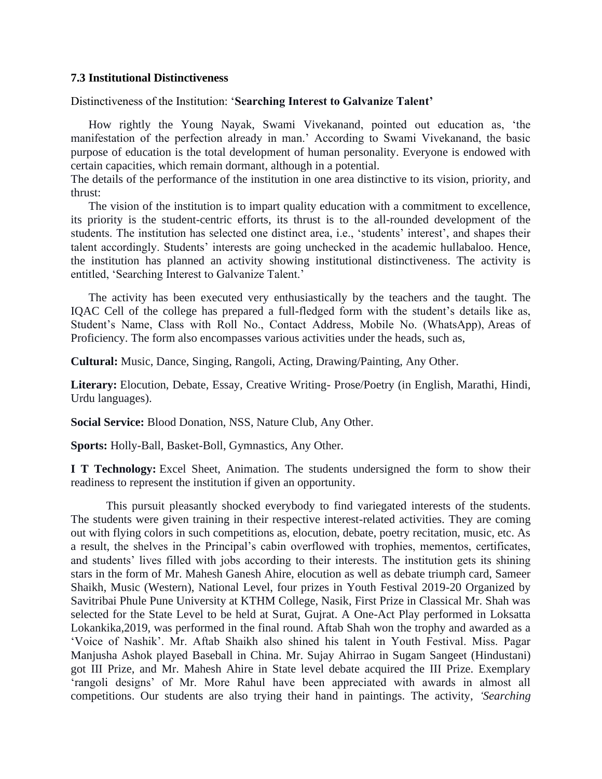## **7.3 Institutional Distinctiveness**

Distinctiveness of the Institution: '**Searching Interest to Galvanize Talent'**

How rightly the Young Nayak, Swami Vivekanand, pointed out education as, 'the manifestation of the perfection already in man.' According to Swami Vivekanand, the basic purpose of education is the total development of human personality. Everyone is endowed with certain capacities, which remain dormant, although in a potential.

The details of the performance of the institution in one area distinctive to its vision, priority, and thrust:

The vision of the institution is to impart quality education with a commitment to excellence, its priority is the student-centric efforts, its thrust is to the all-rounded development of the students. The institution has selected one distinct area, i.e., 'students' interest', and shapes their talent accordingly. Students' interests are going unchecked in the academic hullabaloo. Hence, the institution has planned an activity showing institutional distinctiveness. The activity is entitled, 'Searching Interest to Galvanize Talent.'

The activity has been executed very enthusiastically by the teachers and the taught. The IQAC Cell of the college has prepared a full-fledged form with the student's details like as, Student's Name, Class with Roll No., Contact Address, Mobile No. (WhatsApp), Areas of Proficiency. The form also encompasses various activities under the heads, such as,

**Cultural:** Music, Dance, Singing, Rangoli, Acting, Drawing/Painting, Any Other.

**Literary:** Elocution, Debate, Essay, Creative Writing- Prose/Poetry (in English, Marathi, Hindi, Urdu languages).

**Social Service:** Blood Donation, NSS, Nature Club, Any Other.

**Sports:** Holly-Ball, Basket-Boll, Gymnastics, Any Other.

**I T Technology:** Excel Sheet, Animation. The students undersigned the form to show their readiness to represent the institution if given an opportunity.

This pursuit pleasantly shocked everybody to find variegated interests of the students. The students were given training in their respective interest-related activities. They are coming out with flying colors in such competitions as, elocution, debate, poetry recitation, music, etc. As a result, the shelves in the Principal's cabin overflowed with trophies, mementos, certificates, and students' lives filled with jobs according to their interests. The institution gets its shining stars in the form of Mr. Mahesh Ganesh Ahire, elocution as well as debate triumph card, Sameer Shaikh, Music (Western), National Level, four prizes in Youth Festival 2019-20 Organized by Savitribai Phule Pune University at KTHM College, Nasik, First Prize in Classical Mr. Shah was selected for the State Level to be held at Surat, Gujrat. A One-Act Play performed in Loksatta Lokankika,2019, was performed in the final round. Aftab Shah won the trophy and awarded as a 'Voice of Nashik'. Mr. Aftab Shaikh also shined his talent in Youth Festival. Miss. Pagar Manjusha Ashok played Baseball in China. Mr. Sujay Ahirrao in Sugam Sangeet (Hindustani) got III Prize, and Mr. Mahesh Ahire in State level debate acquired the III Prize. Exemplary 'rangoli designs' of Mr. More Rahul have been appreciated with awards in almost all competitions. Our students are also trying their hand in paintings. The activity, *'Searching*